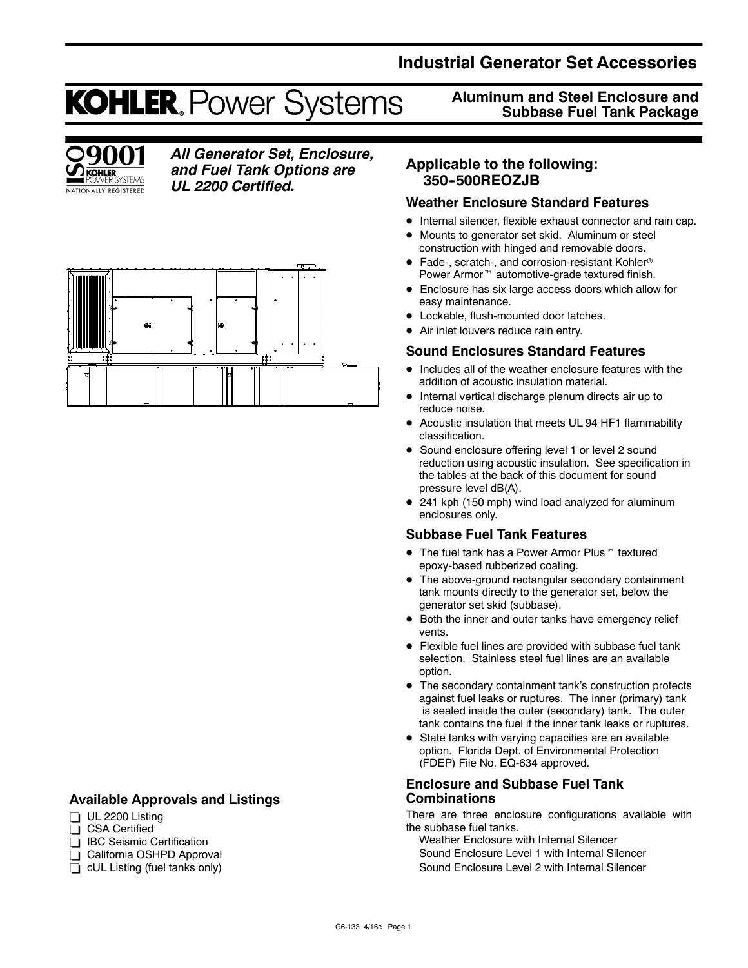# **Industrial Generator Set Accessories**

# **KOHLER. Power Systems**



# *All Generator Set, Enclosure, and Fuel Tank Options are UL 2200 Certified.*



# **Available Approvals and Listings**

- $\Box$  UL 2200 Listing
- CSA Certified
- **BC** Seismic Certification
- California OSHPD Approval
- $\Box$  cUL Listing (fuel tanks only)

**Aluminum and Steel Enclosure and Subbase Fuel Tank Package**

# **Applicable to the following: 350--500REOZJB**

## **Weather Enclosure Standard Features**

- Internal silencer, flexible exhaust connector and rain cap.
- Mounts to generator set skid. Aluminum or steel construction with hinged and removable doors.
- Fade-, scratch-, and corrosion-resistant Kohler<sup>®</sup> Power Armor<sup>™</sup> automotive-grade textured finish.
- Enclosure has six large access doors which allow for easy maintenance.
- Lockable, flush-mounted door latches.
- Air inlet louvers reduce rain entry.

## **Sound Enclosures Standard Features**

- $\bullet$  Includes all of the weather enclosure features with the addition of acoustic insulation material.
- $\bullet$  Internal vertical discharge plenum directs air up to reduce noise.
- Acoustic insulation that meets UL 94 HF1 flammability classification.
- Sound enclosure offering level 1 or level 2 sound reduction using acoustic insulation. See specification in the tables at the back of this document for sound pressure level dB(A).
- 241 kph (150 mph) wind load analyzed for aluminum enclosures only.

## **Subbase Fuel Tank Features**

- $\bullet$  The fuel tank has a Power Armor Plus<sup> $M$ </sup> textured epoxy-based rubberized coating.
- The above-ground rectangular secondary containment tank mounts directly to the generator set, below the generator set skid (subbase).
- Both the inner and outer tanks have emergency relief vents.
- $\bullet$  Flexible fuel lines are provided with subbase fuel tank selection. Stainless steel fuel lines are an available option.
- The secondary containment tank's construction protects against fuel leaks or ruptures. The inner (primary) tank is sealed inside the outer (secondary) tank. The outer tank contains the fuel if the inner tank leaks or ruptures.
- State tanks with varying capacities are an available option. Florida Dept. of Environmental Protection (FDEP) File No. EQ-634 approved.

## **Enclosure and Subbase Fuel Tank Combinations**

There are three enclosure configurations available with the subbase fuel tanks.

Weather Enclosure with Internal Silencer Sound Enclosure Level 1 with Internal Silencer Sound Enclosure Level 2 with Internal Silencer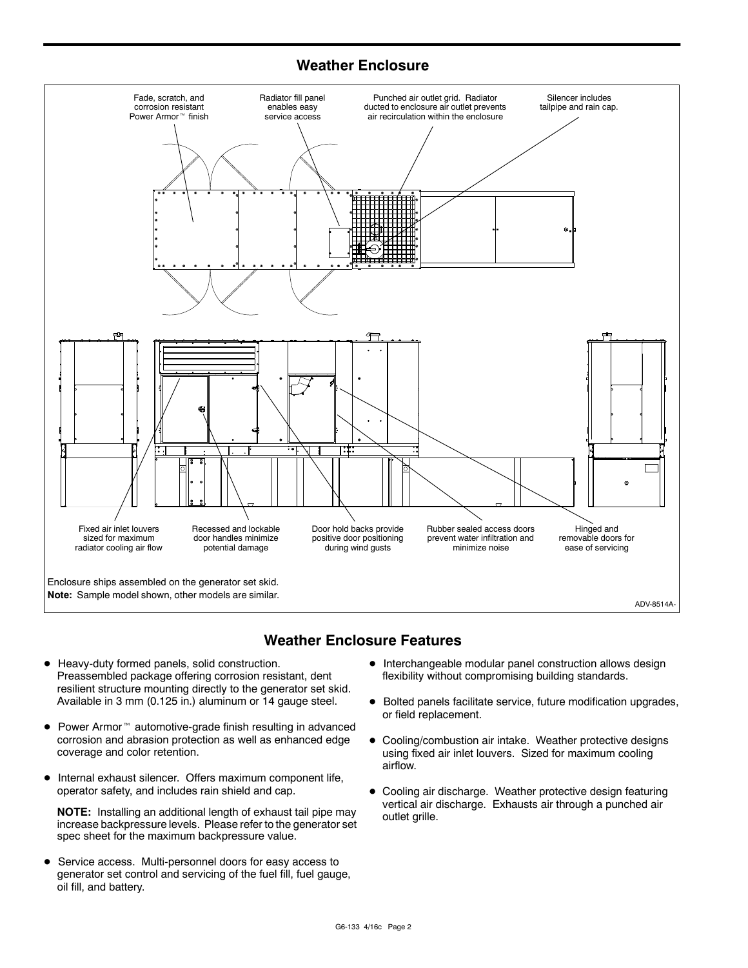# **Weather Enclosure**



# **Weather Enclosure Features**

- $\bullet$  Heavy-duty formed panels, solid construction. Preassembled package offering corrosion resistant, dent resilient structure mounting directly to the generator set skid. Available in 3 mm (0.125 in.) aluminum or 14 gauge steel.
- $\bullet$  Power Armor<sup> $m$ </sup> automotive-grade finish resulting in advanced corrosion and abrasion protection as well as enhanced edge coverage and color retention.
- $\bullet$  Internal exhaust silencer. Offers maximum component life, operator safety, and includes rain shield and cap.

**NOTE:** Installing an additional length of exhaust tail pipe may increase backpressure levels. Please refer to the generator set spec sheet for the maximum backpressure value.

**•** Service access. Multi-personnel doors for easy access to generator set control and servicing of the fuel fill, fuel gauge, oil fill, and battery.

- $\bullet$  Interchangeable modular panel construction allows design flexibility without compromising building standards.
- $\bullet$  Bolted panels facilitate service, future modification upgrades, or field replacement.
- $\bullet$  Cooling/combustion air intake. Weather protective designs using fixed air inlet louvers. Sized for maximum cooling airflow.
- $\bullet$  Cooling air discharge. Weather protective design featuring vertical air discharge. Exhausts air through a punched air outlet grille.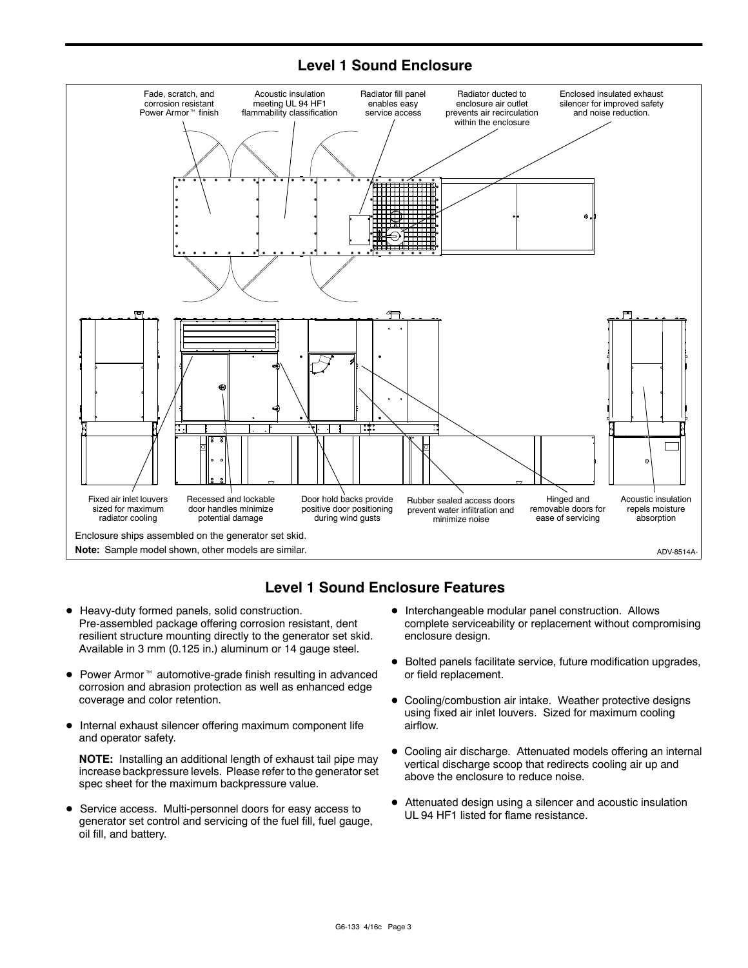# **Level 1 Sound Enclosure**



# **Level 1 Sound Enclosure Features**

- $\bullet$  Heavy-duty formed panels, solid construction. Pre-assembled package offering corrosion resistant, dent resilient structure mounting directly to the generator set skid. Available in 3 mm (0.125 in.) aluminum or 14 gauge steel.
- $\bullet$  Power Armor<sup> $m$ </sup> automotive-grade finish resulting in advanced corrosion and abrasion protection as well as enhanced edge coverage and color retention.
- Internal exhaust silencer offering maximum component life and operator safety.

**NOTE:** Installing an additional length of exhaust tail pipe may increase backpressure levels. Please refer to the generator set spec sheet for the maximum backpressure value.

• Service access. Multi-personnel doors for easy access to generator set control and servicing of the fuel fill, fuel gauge, oil fill, and battery.

- $\bullet$  Interchangeable modular panel construction. Allows complete serviceability or replacement without compromising enclosure design.
- $\bullet$  Bolted panels facilitate service, future modification upgrades, or field replacement.
- Cooling/combustion air intake. Weather protective designs using fixed air inlet louvers. Sized for maximum cooling airflow.
- Cooling air discharge. Attenuated models offering an internal vertical discharge scoop that redirects cooling air up and above the enclosure to reduce noise.
- Attenuated design using a silencer and acoustic insulation UL 94 HF1 listed for flame resistance.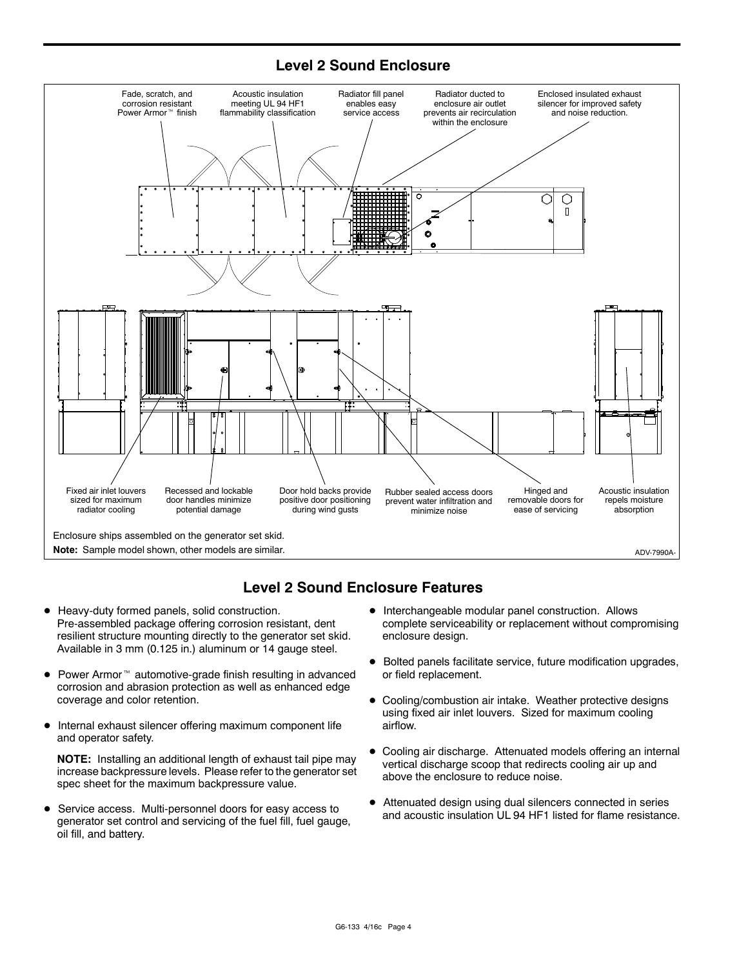# **Level 2 Sound Enclosure**



# **Level 2 Sound Enclosure Features**

- $\bullet$  Heavy-duty formed panels, solid construction. Pre-assembled package offering corrosion resistant, dent resilient structure mounting directly to the generator set skid. Available in 3 mm (0.125 in.) aluminum or 14 gauge steel.
- $\bullet$  Power Armor<sup> $m$ </sup> automotive-grade finish resulting in advanced corrosion and abrasion protection as well as enhanced edge coverage and color retention.
- $\bullet$  Internal exhaust silencer offering maximum component life and operator safety.

**NOTE:** Installing an additional length of exhaust tail pipe may increase backpressure levels. Please refer to the generator set spec sheet for the maximum backpressure value.

• Service access. Multi-personnel doors for easy access to generator set control and servicing of the fuel fill, fuel gauge, oil fill, and battery.

- $\bullet$  Interchangeable modular panel construction. Allows complete serviceability or replacement without compromising enclosure design.
- $\bullet$  Bolted panels facilitate service, future modification upgrades, or field replacement.
- Cooling/combustion air intake. Weather protective designs using fixed air inlet louvers. Sized for maximum cooling airflow.
- Cooling air discharge. Attenuated models offering an internal vertical discharge scoop that redirects cooling air up and above the enclosure to reduce noise.
- Attenuated design using dual silencers connected in series and acoustic insulation UL 94 HF1 listed for flame resistance.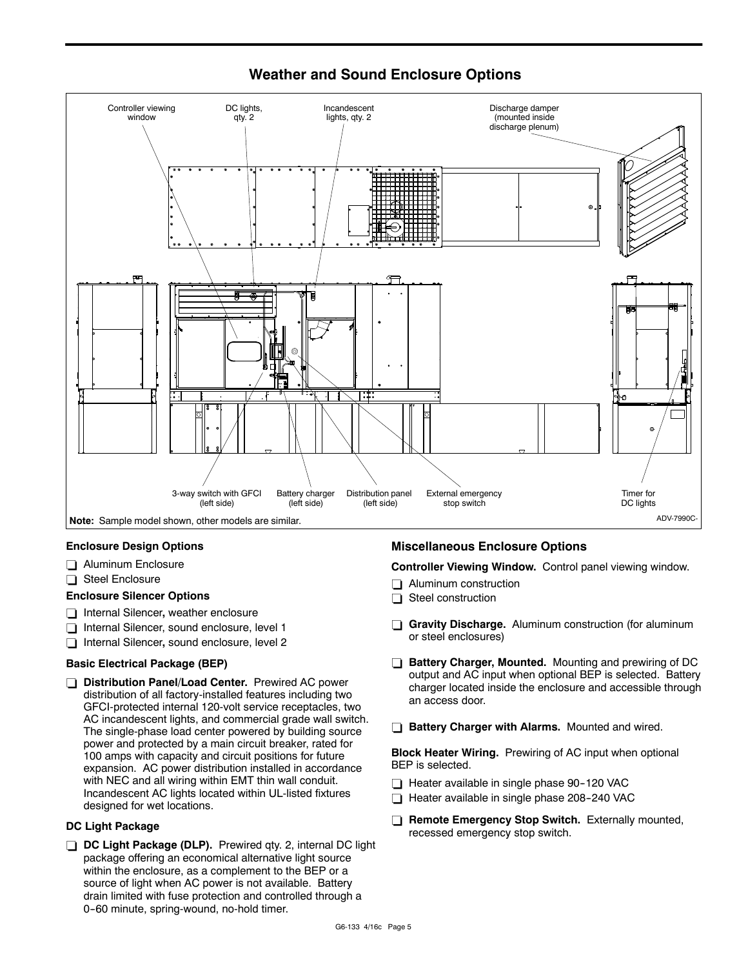**Weather and Sound Enclosure Options**



## **Enclosure Design Options**

- $\Box$  Aluminum Enclosure
- $\Box$  Steel Enclosure

#### **Enclosure Silencer Options**

- **T** Internal Silencer, weather enclosure
- $\Box$  Internal Silencer, sound enclosure, level 1
- □ Internal Silencer, sound enclosure, level 2

## **Basic Electrical Package (BEP)**

*Distribution Panel/Load Center. Prewired AC power* distribution of all factory-installed features including two GFCI-protected internal 120-volt service receptacles, two AC incandescent lights, and commercial grade wall switch. The single-phase load center powered by building source power and protected by a main circuit breaker, rated for 100 amps with capacity and circuit positions for future expansion. AC power distribution installed in accordance with NEC and all wiring within EMT thin wall conduit. Incandescent AC lights located within UL-listed fixtures designed for wet locations.

#### **DC Light Package**

**DC Light Package (DLP).** Prewired qty. 2, internal DC light package offering an economical alternative light source within the enclosure, as a complement to the BEP or a source of light when AC power is not available. Battery drain limited with fuse protection and controlled through a 0-60 minute, spring-wound, no-hold timer.

## **Miscellaneous Enclosure Options**

**Controller Viewing Window.** Control panel viewing window.

- $\Box$  Aluminum construction
- $\Box$  Steel construction
- **Gravity Discharge.** Aluminum construction (for aluminum or steel enclosures)
- **Battery Charger, Mounted.** Mounting and prewiring of DC output and AC input when optional BEP is selected. Battery charger located inside the enclosure and accessible through an access door.
- **Battery Charger with Alarms.** Mounted and wired.

**Block Heater Wiring.** Prewiring of AC input when optional BEP is selected.

- $\Box$  Heater available in single phase 90-120 VAC
- Heater available in single phase 208-240 VAC
- **T** Remote Emergency Stop Switch. Externally mounted, recessed emergency stop switch.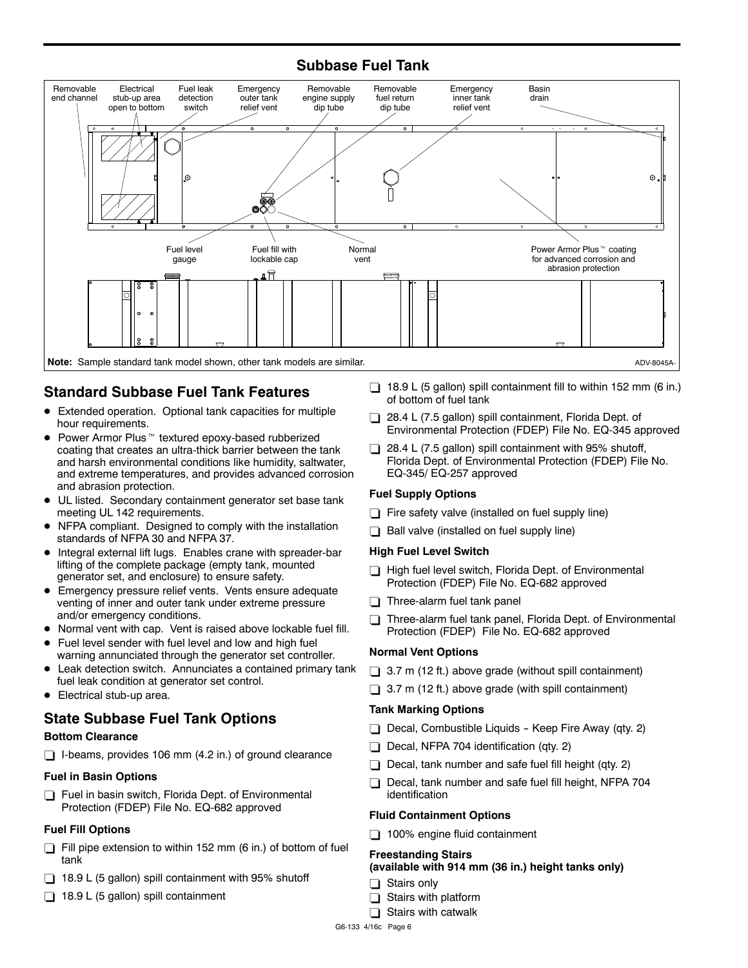# **Subbase Fuel Tank**



# **Standard Subbase Fuel Tank Features**

- Extended operation. Optional tank capacities for multiple hour requirements.
- $\bullet$  Power Armor Plus<sup>™</sup> textured epoxy-based rubberized coating that creates an ultra-thick barrier between the tank and harsh environmental conditions like humidity, saltwater, and extreme temperatures, and provides advanced corrosion and abrasion protection.
- UL listed. Secondary containment generator set base tank meeting UL 142 requirements.
- NFPA compliant. Designed to comply with the installation standards of NFPA 30 and NFPA 37.
- $\bullet$  Integral external lift lugs. Enables crane with spreader-bar lifting of the complete package (empty tank, mounted generator set, and enclosure) to ensure safety.
- **•** Emergency pressure relief vents. Vents ensure adequate venting of inner and outer tank under extreme pressure and/or emergency conditions.
- Normal vent with cap. Vent is raised above lockable fuel fill.
- Fuel level sender with fuel level and low and high fuel warning annunciated through the generator set controller.
- Leak detection switch. Annunciates a contained primary tank fuel leak condition at generator set control.
- $\bullet$  Electrical stub-up area.

# **State Subbase Fuel Tank Options**

## **Bottom Clearance**

 $\Box$  I-beams, provides 106 mm (4.2 in.) of ground clearance

## **Fuel in Basin Options**

 $\Box$  Fuel in basin switch, Florida Dept. of Environmental Protection (FDEP) File No. EQ-682 approved

## **Fuel Fill Options**

- $\Box$  Fill pipe extension to within 152 mm (6 in.) of bottom of fuel tank
- $\Box$  18.9 L (5 gallon) spill containment with 95% shutoff
- $\Box$  18.9 L (5 gallon) spill containment
- $\Box$  18.9 L (5 gallon) spill containment fill to within 152 mm (6 in.) of bottom of fuel tank
- $\Box$  28.4 L (7.5 gallon) spill containment, Florida Dept. of Environmental Protection (FDEP) File No. EQ-345 approved
- $\Box$  28.4 L (7.5 gallon) spill containment with 95% shutoff, Florida Dept. of Environmental Protection (FDEP) File No. EQ-345/ EQ-257 approved

## **Fuel Supply Options**

- $\Box$  Fire safety valve (installed on fuel supply line)
- $\Box$  Ball valve (installed on fuel supply line)

#### **High Fuel Level Switch**

- $\Box$  High fuel level switch, Florida Dept. of Environmental Protection (FDEP) File No. EQ-682 approved
- $\Box$  Three-alarm fuel tank panel
- $\Box$  Three-alarm fuel tank panel, Florida Dept. of Environmental Protection (FDEP) File No. EQ-682 approved

## **Normal Vent Options**

- $\Box$  3.7 m (12 ft.) above grade (without spill containment)
- $\Box$  3.7 m (12 ft.) above grade (with spill containment)

#### **Tank Marking Options**

- $\Box$  Decal, Combustible Liquids Keep Fire Away (qty. 2)
- $\Box$  Decal, NFPA 704 identification (qty. 2)
- $\Box$  Decal, tank number and safe fuel fill height (qty. 2)
- $\Box$  Decal, tank number and safe fuel fill height, NFPA 704 identification

## **Fluid Containment Options**

 $\Box$  100% engine fluid containment

#### **Freestanding Stairs**

#### **(available with 914 mm (36 in.) height tanks only)**

- $\Box$  Stairs only
- $\Box$  Stairs with platform
- $\Box$  Stairs with catwalk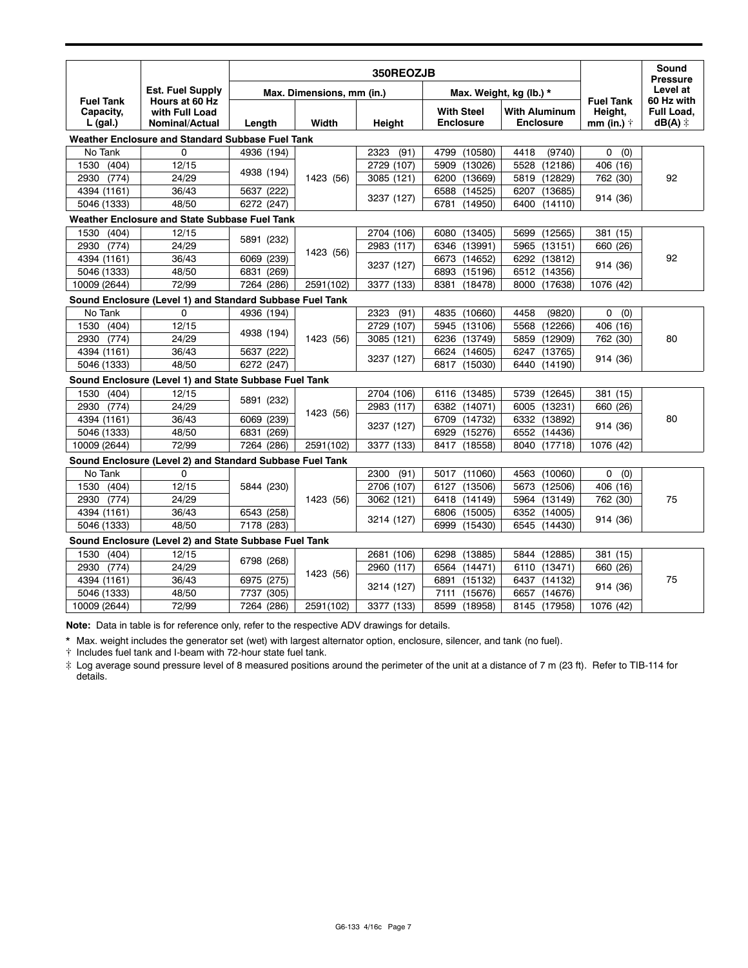|                                             | <b>Est. Fuel Supply</b><br>Hours at 60 Hz<br>with Full Load<br><b>Nominal/Actual</b> | 350REOZJB                              |           |              |                                       |                                          |                                                   | Sound<br><b>Pressure</b>                       |
|---------------------------------------------|--------------------------------------------------------------------------------------|----------------------------------------|-----------|--------------|---------------------------------------|------------------------------------------|---------------------------------------------------|------------------------------------------------|
| <b>Fuel Tank</b><br>Capacity,<br>$L$ (gal.) |                                                                                      | Max. Dimensions, mm (in.)              |           |              |                                       | Max. Weight, kg (lb.) *                  |                                                   | Level at                                       |
|                                             |                                                                                      | Length                                 | Width     | Height       | <b>With Steel</b><br><b>Enclosure</b> | <b>With Aluminum</b><br><b>Enclosure</b> | <b>Fuel Tank</b><br>Height,<br>mm (in.) $\dagger$ | 60 Hz with<br>Full Load,<br>$dB(A)$ $\ddagger$ |
|                                             | Weather Enclosure and Standard Subbase Fuel Tank                                     |                                        |           |              |                                       |                                          |                                                   |                                                |
| No Tank                                     | 0                                                                                    | 4936 (194)                             |           | (91)<br>2323 | 4799<br>(10580)                       | (9740)<br>4418                           | 0<br>(0)                                          |                                                |
| 1530<br>(404)                               | 12/15                                                                                | 4938 (194)                             | 1423 (56) | 2729 (107)   | (13026)<br>5909                       | 5528<br>(12186)                          | 406 (16)                                          | 92                                             |
| (774)<br>2930                               | 24/29                                                                                |                                        |           | 3085 (121)   | 6200<br>(13669)                       | 5819<br>(12829)                          | 762 (30)                                          |                                                |
| 4394 (1161)                                 | 36/43                                                                                | 5637 (222)                             |           | 3237 (127)   | 6588<br>(14525)                       | 6207<br>(13685)                          |                                                   |                                                |
| 5046 (1333)                                 | 48/50                                                                                | 6272 (247)                             |           |              | (14950)<br>6781                       | 6400<br>(14110)                          | 914 (36)                                          |                                                |
|                                             | Weather Enclosure and State Subbase Fuel Tank                                        |                                        |           |              |                                       |                                          |                                                   |                                                |
| 1530<br>(404)                               | 12/15                                                                                |                                        | 1423 (56) | 2704 (106)   | 6080<br>(13405)                       | (12565)<br>5699                          | 381 (15)                                          | 92                                             |
| (774)<br>2930                               | 24/29                                                                                | 5891 (232)                             |           | 2983 (117)   | 6346<br>(13991)                       | (13151)<br>5965                          | 660 (26)                                          |                                                |
| 4394 (1161)                                 | 36/43                                                                                | 6069 (239)                             |           | 3237 (127)   | (14652)<br>6673                       | 6292 (13812)                             |                                                   |                                                |
| 5046 (1333)                                 | 48/50                                                                                | 6831<br>(269)                          |           |              | (15196)<br>6893                       | 6512 (14356)                             | 914 (36)                                          |                                                |
| 10009 (2644)                                | 72/99                                                                                | 7264 (286)                             | 2591(102) | 3377 (133)   | 8381<br>(18478)                       | 8000 (17638)                             | 1076 (42)                                         |                                                |
|                                             | Sound Enclosure (Level 1) and Standard Subbase Fuel Tank                             |                                        |           |              |                                       |                                          |                                                   |                                                |
| No Tank                                     | 0                                                                                    | 4936 (194)                             | 1423 (56) | 2323<br>(91) | (10660)<br>4835                       | 4458<br>(9820)                           | 0<br>(0)                                          | 80                                             |
| 1530<br>(404)                               | 12/15                                                                                | 4938 (194)<br>5637 (222)<br>6272 (247) |           | 2729 (107)   | (13106)<br>5945                       | 5568<br>(12266)                          | 406 (16)                                          |                                                |
| 2930<br>(774)                               | 24/29                                                                                |                                        |           | 3085 (121)   | 6236<br>(13749)                       | (12909)<br>5859                          | 762 (30)                                          |                                                |
| 4394 (1161)                                 | 36/43                                                                                |                                        |           | 3237 (127)   | 6624<br>(14605)                       | (13765)<br>6247                          | 914 (36)                                          |                                                |
| 5046 (1333)                                 | 48/50                                                                                |                                        |           |              | 6817<br>(15030)                       | 6440<br>(14190)                          |                                                   |                                                |
|                                             | Sound Enclosure (Level 1) and State Subbase Fuel Tank                                |                                        |           |              |                                       |                                          |                                                   |                                                |
| 1530<br>(404)                               | 12/15                                                                                |                                        |           | 2704 (106)   | 6116<br>(13485)                       | 5739<br>(12645)                          | 381 (15)                                          |                                                |
| (774)<br>2930                               | 24/29                                                                                | 5891 (232)<br>6069 (239)<br>6831 (269) | 1423 (56) | 2983 (117)   | (14071)<br>6382                       | 6005<br>(13231)                          | 660 (26)                                          |                                                |
| 4394 (1161)                                 | 36/43                                                                                |                                        |           | 3237 (127)   | 6709<br>(14732)                       | 6332<br>(13892)                          | 914 (36)                                          | 80                                             |
| 5046 (1333)                                 | 48/50                                                                                |                                        |           |              | (15276)<br>6929                       | 6552 (14436)                             |                                                   |                                                |
| 10009 (2644)                                | 72/99                                                                                | 7264 (286)                             | 2591(102) | 3377 (133)   | 8417<br>(18558)                       | 8040 (17718)                             | 1076 (42)                                         |                                                |
|                                             | Sound Enclosure (Level 2) and Standard Subbase Fuel Tank                             |                                        |           |              |                                       |                                          |                                                   |                                                |
| No Tank                                     | $\Omega$                                                                             |                                        | 1423 (56) | (91)<br>2300 | 5017<br>(11060)                       | (10060)<br>4563                          | 0<br>(0)                                          | 75                                             |
| (404)<br>1530                               | 12/15                                                                                | 5844 (230)<br>6543 (258)<br>7178 (283) |           | 2706 (107)   | 6127 (13506)                          | 5673<br>(12506)                          | 406 (16)                                          |                                                |
| (774)<br>2930                               | 24/29                                                                                |                                        |           | 3062 (121)   | 6418<br>(14149)                       | 5964 (13149)                             | 762 (30)                                          |                                                |
| 4394 (1161)                                 | 36/43                                                                                |                                        |           | 3214 (127)   | 6806 (15005)                          | 6352 (14005)                             | 914 (36)                                          |                                                |
| 5046 (1333)                                 | 48/50                                                                                |                                        |           |              | 6999<br>(15430)                       | 6545 (14430)                             |                                                   |                                                |
|                                             | Sound Enclosure (Level 2) and State Subbase Fuel Tank                                |                                        |           |              |                                       |                                          |                                                   |                                                |
| 1530<br>(404)                               | 12/15                                                                                |                                        | 1423 (56) | 2681 (106)   | 6298<br>(13885)                       | 5844 (12885)                             | 381 (15)                                          |                                                |
| (774)<br>2930                               | 24/29                                                                                | 6798 (268)<br>6975 (275)               |           | 2960 (117)   | 6564 (14471)                          | 6110 (13471)                             | 660 (26)                                          |                                                |
| 4394 (1161)                                 | 36/43                                                                                |                                        |           | 3214 (127)   | (15132)<br>6891                       | 6437 (14132)                             |                                                   | 75                                             |
| 5046 (1333)                                 | 48/50                                                                                | 7737<br>(305)                          |           |              | 7111<br>(15676)                       | (14676)<br>6657                          | 914 (36)                                          |                                                |
| 10009 (2644)                                | 72/99                                                                                | 7264 (286)                             | 2591(102) | 3377 (133)   | 8599<br>(18958)                       | 8145 (17958)                             | 1076 (42)                                         |                                                |

**Note:** Data in table is for reference only, refer to the respective ADV drawings for details.

\* Max. weight includes the generator set (wet) with largest alternator option, enclosure, silencer, and tank (no fuel).

 $\dagger$  Includes fuel tank and I-beam with 72-hour state fuel tank.

# Log average sound pressure level of 8 measured positions around the perimeter of the unit at a distance of 7 m (23 ft). Refer to TIB-114 for details.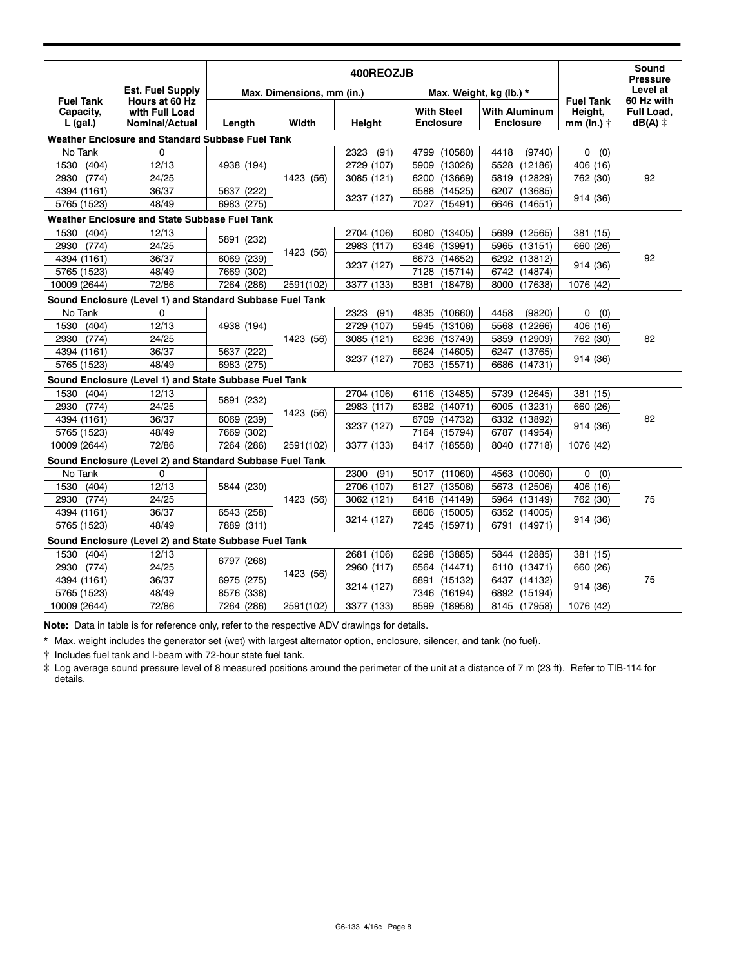|                                                       | <b>Est. Fuel Supply</b><br>Hours at 60 Hz<br>with Full Load<br><b>Nominal/Actual</b> | 400REOZJB                              |                        |              |                                       |                                          |                                                   | Sound                                          |  |
|-------------------------------------------------------|--------------------------------------------------------------------------------------|----------------------------------------|------------------------|--------------|---------------------------------------|------------------------------------------|---------------------------------------------------|------------------------------------------------|--|
|                                                       |                                                                                      | Max. Dimensions, mm (in.)              |                        |              |                                       | Max. Weight, kg (lb.) *                  |                                                   | <b>Pressure</b><br>Level at                    |  |
| <b>Fuel Tank</b><br>Capacity,<br>$L$ (gal.)           |                                                                                      | Length                                 | Width                  | Height       | <b>With Steel</b><br><b>Enclosure</b> | <b>With Aluminum</b><br><b>Enclosure</b> | <b>Fuel Tank</b><br>Height,<br>mm (in.) $\dagger$ | 60 Hz with<br>Full Load,<br>$dB(A)$ $\ddagger$ |  |
|                                                       | Weather Enclosure and Standard Subbase Fuel Tank                                     |                                        |                        |              |                                       |                                          |                                                   |                                                |  |
| No Tank                                               | 0                                                                                    |                                        |                        | 2323<br>(91) | 4799<br>(10580)                       | 4418<br>(9740)                           | 0<br>(0)                                          |                                                |  |
| 1530<br>(404)                                         | 12/13                                                                                | 4938 (194)                             | 1423 (56)              | 2729 (107)   | (13026)<br>5909                       | 5528<br>(12186)                          | 406 (16)                                          | 92                                             |  |
| (774)<br>2930                                         | 24/25                                                                                |                                        |                        | 3085 (121)   | 6200<br>(13669)                       | 5819<br>(12829)                          | 762 (30)                                          |                                                |  |
| 4394 (1161)                                           | 36/37                                                                                | 5637 (222)                             |                        | 3237 (127)   | 6588<br>(14525)                       | 6207<br>(13685)                          |                                                   |                                                |  |
| 5765 (1523)                                           | 48/49                                                                                | 6983 (275)                             |                        |              | 7027<br>(15491)                       | 6646<br>(14651)                          | 914 (36)                                          |                                                |  |
| Weather Enclosure and State Subbase Fuel Tank         |                                                                                      |                                        |                        |              |                                       |                                          |                                                   |                                                |  |
| (404)<br>1530                                         | 12/13                                                                                |                                        |                        | 2704 (106)   | (13405)<br>6080                       | (12565)<br>5699                          | 381 (15)                                          | 92                                             |  |
| (774)<br>2930                                         | 24/25                                                                                | 5891 (232)                             |                        | 2983 (117)   | (13991)<br>6346                       | 5965<br>(13151)                          | 660 (26)                                          |                                                |  |
| 4394 (1161)                                           | 36/37                                                                                | 6069 (239)                             | 1423 (56)              |              | 6673<br>(14652)                       | 6292<br>(13812)                          |                                                   |                                                |  |
| 5765 (1523)                                           | 48/49                                                                                | 7669 (302)                             |                        | 3237 (127)   | (15714)<br>7128                       | 6742 (14874)                             | 914 (36)                                          |                                                |  |
| 10009 (2644)                                          | 72/86                                                                                | 7264 (286)                             | 2591(102)              | 3377 (133)   | 8381<br>(18478)                       | 8000 (17638)                             | 1076 (42)                                         |                                                |  |
|                                                       | Sound Enclosure (Level 1) and Standard Subbase Fuel Tank                             |                                        |                        |              |                                       |                                          |                                                   |                                                |  |
| No Tank                                               | $\mathbf 0$                                                                          |                                        | 1423 (56)              | (91)<br>2323 | (10660)<br>4835                       | 4458<br>(9820)                           | 0<br>(0)                                          | 82                                             |  |
| 1530<br>(404)                                         | 12/13                                                                                | 4938 (194)<br>5637 (222)               |                        | 2729 (107)   | (13106)<br>5945                       | 5568<br>(12266)                          | 406 (16)                                          |                                                |  |
| (774)<br>2930                                         | 24/25                                                                                |                                        |                        | 3085 (121)   | 6236<br>(13749)                       | 5859<br>(12909)                          | 762 (30)                                          |                                                |  |
| 4394 (1161)                                           | 36/37                                                                                |                                        |                        | 3237 (127)   | 6624<br>(14605)                       | (13765)<br>6247                          | 914 (36)                                          |                                                |  |
| 5765 (1523)                                           | 48/49                                                                                | 6983 (275)                             |                        |              | 7063<br>(15571)                       | 6686<br>(14731)                          |                                                   |                                                |  |
|                                                       | Sound Enclosure (Level 1) and State Subbase Fuel Tank                                |                                        |                        |              |                                       |                                          |                                                   |                                                |  |
| 1530<br>(404)                                         | 12/13                                                                                | 5891 (232)<br>6069 (239)               | 1423 (56)<br>2591(102) | 2704 (106)   | 6116<br>(13485)                       | 5739 (12645)                             | 381 (15)                                          | 82                                             |  |
| 2930<br>(774)                                         | 24/25                                                                                |                                        |                        | 2983 (117)   | 6382<br>(14071)                       | (13231)<br>6005                          | 660 (26)                                          |                                                |  |
| 4394 (1161)                                           | 36/37                                                                                |                                        |                        | 3237 (127)   | (14732)<br>6709                       | 6332 (13892)                             |                                                   |                                                |  |
| 5765 (1523)                                           | 48/49                                                                                | 7669 (302)                             |                        |              | 7164<br>(15794)                       | 6787<br>(14954)                          | 914 (36)                                          |                                                |  |
| 10009 (2644)                                          | 72/86                                                                                | 7264 (286)                             |                        | 3377 (133)   | 8417<br>(18558)                       | 8040<br>(17718)                          | 1076 (42)                                         |                                                |  |
|                                                       | Sound Enclosure (Level 2) and Standard Subbase Fuel Tank                             |                                        |                        |              |                                       |                                          |                                                   |                                                |  |
| No Tank                                               | 0                                                                                    |                                        |                        | 2300<br>(91) | (11060)<br>5017                       | 4563<br>(10060)                          | 0<br>(0)                                          | 75                                             |  |
| (404)<br>1530                                         | 12/13                                                                                | 5844 (230)<br>6543 (258)<br>7889 (311) | 1423 (56)              | 2706 (107)   | 6127<br>(13506)                       | 5673 (12506)                             | 406 (16)                                          |                                                |  |
| (774)<br>2930                                         | 24/25                                                                                |                                        |                        | 3062 (121)   | 6418<br>(14149)                       | 5964 (13149)                             | 762 (30)                                          |                                                |  |
| 4394 (1161)                                           | 36/37                                                                                |                                        |                        | 3214 (127)   | (15005)<br>6806                       | 6352 (14005)                             |                                                   |                                                |  |
| 5765 (1523)                                           | 48/49                                                                                |                                        |                        |              | (15971)<br>7245                       | 6791<br>(14971)                          | 914 (36)                                          |                                                |  |
| Sound Enclosure (Level 2) and State Subbase Fuel Tank |                                                                                      |                                        |                        |              |                                       |                                          |                                                   |                                                |  |
| 1530<br>(404)                                         | 12/13                                                                                |                                        | 1423 (56)<br>2591(102) | 2681 (106)   | (13885)<br>6298                       | 5844 (12885)                             | 381 (15)                                          | 75                                             |  |
| (774)<br>2930                                         | 24/25                                                                                | 6797 (268)                             |                        | 2960 (117)   | 6564<br>(14471)                       | 6110<br>(13471)                          | 660 (26)                                          |                                                |  |
| 4394 (1161)                                           | 36/37                                                                                | 6975 (275)                             |                        | 3214 (127)   | 6891<br>(15132)                       | 6437<br>(14132)                          | 914 (36)                                          |                                                |  |
| 5765 (1523)                                           | 48/49                                                                                | 8576 (338)                             |                        |              | (16194)<br>7346                       | (15194)<br>6892                          |                                                   |                                                |  |
| 10009 (2644)                                          | 72/86                                                                                | 7264 (286)                             |                        | 3377 (133)   | 8599<br>(18958)                       | 8145 (17958)                             | 1076 (42)                                         |                                                |  |

**Note:** Data in table is for reference only, refer to the respective ADV drawings for details.

\* Max. weight includes the generator set (wet) with largest alternator option, enclosure, silencer, and tank (no fuel).

 $\dagger$  Includes fuel tank and I-beam with 72-hour state fuel tank.

 $\ddot*$  Log average sound pressure level of 8 measured positions around the perimeter of the unit at a distance of 7 m (23 ft). Refer to TIB-114 for details.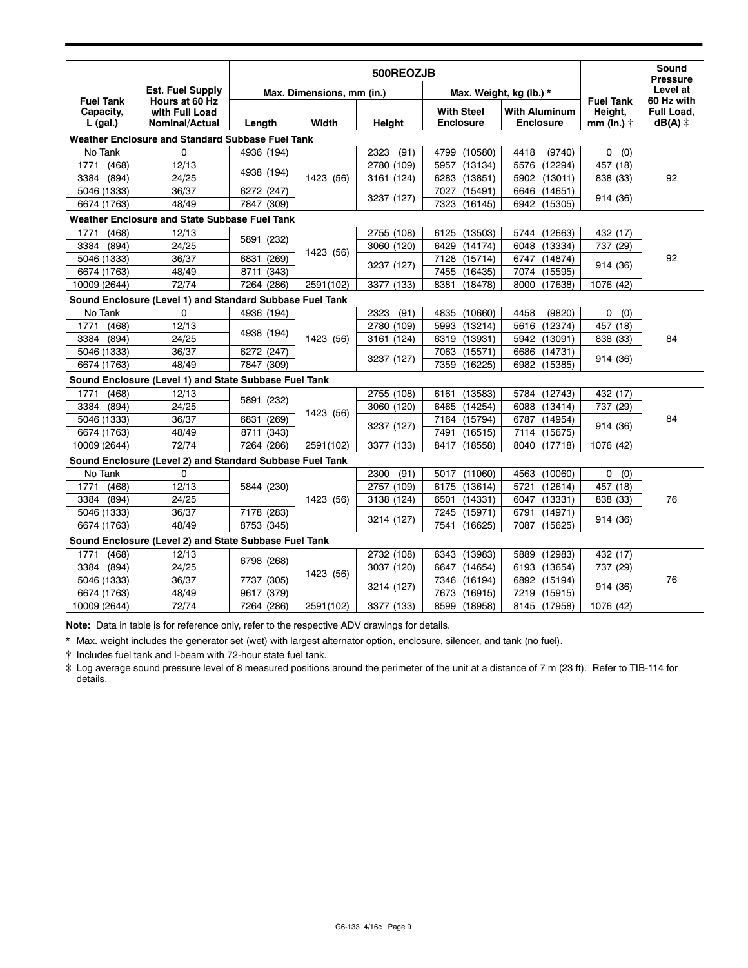| <b>Fuel Tank</b><br>Capacity,<br>$L$ (gal.) | <b>Est. Fuel Supply</b><br>Hours at 60 Hz<br>with Full Load<br><b>Nominal/Actual</b> | 500REOZJB                                 |                        |              |                                       |                                          |                                                   | Sound<br><b>Pressure</b>                       |
|---------------------------------------------|--------------------------------------------------------------------------------------|-------------------------------------------|------------------------|--------------|---------------------------------------|------------------------------------------|---------------------------------------------------|------------------------------------------------|
|                                             |                                                                                      | Max. Dimensions, mm (in.)                 |                        |              |                                       | Max. Weight, kg (lb.) *                  |                                                   | Level at                                       |
|                                             |                                                                                      | Length                                    | Width                  | Height       | <b>With Steel</b><br><b>Enclosure</b> | <b>With Aluminum</b><br><b>Enclosure</b> | <b>Fuel Tank</b><br>Height,<br>mm (in.) $\dagger$ | 60 Hz with<br>Full Load,<br>$dB(A)$ $\ddagger$ |
|                                             | Weather Enclosure and Standard Subbase Fuel Tank                                     |                                           |                        |              |                                       |                                          |                                                   |                                                |
| No Tank                                     | 0                                                                                    | 4936 (194)                                |                        | 2323<br>(91) | 4799<br>(10580)                       | 4418<br>(9740)                           | 0<br>(0)                                          |                                                |
| (468)<br>1771                               | 12/13                                                                                | 4938 (194)                                | 1423 (56)              | 2780 (109)   | 5957<br>(13134)                       | 5576<br>(12294)                          | 457 (18)                                          | 92                                             |
| (894)<br>3384                               | 24/25                                                                                |                                           |                        | 3161 (124)   | 6283<br>(13851)                       | (13011)<br>5902                          | 838 (33)                                          |                                                |
| 5046 (1333)                                 | 36/37                                                                                | 6272 (247)                                |                        | 3237 (127)   | 7027<br>(15491)                       | 6646<br>(14651)                          |                                                   |                                                |
| 6674 (1763)                                 | 48/49                                                                                | 7847 (309)                                |                        |              | 7323<br>(16145)                       | 6942<br>(15305)                          | 914 (36)                                          |                                                |
|                                             | Weather Enclosure and State Subbase Fuel Tank                                        |                                           |                        |              |                                       |                                          |                                                   |                                                |
| (468)<br>1771                               | 12/13                                                                                |                                           |                        | 2755 (108)   | 6125<br>(13503)                       | 5744 (12663)                             | 432 (17)                                          | 92                                             |
| (894)<br>3384                               | 24/25                                                                                | 5891 (232)<br>6831<br>(269)               |                        | 3060 (120)   | 6429<br>(14174)                       | 6048 (13334)                             | 737 (29)                                          |                                                |
| 5046 (1333)                                 | 36/37                                                                                |                                           | 1423 (56)              | 3237 (127)   | 7128<br>(15714)                       | 6747<br>(14874)                          |                                                   |                                                |
| 6674 (1763)                                 | 48/49                                                                                | 8711 (343)                                |                        |              | 7455<br>(16435)                       | 7074<br>(15595)                          | 914 (36)                                          |                                                |
| 10009 (2644)                                | 72/74                                                                                | 7264 (286)                                | 2591(102)              | 3377 (133)   | 8381<br>(18478)                       | 8000 (17638)                             | 1076 (42)                                         |                                                |
|                                             | Sound Enclosure (Level 1) and Standard Subbase Fuel Tank                             |                                           |                        |              |                                       |                                          |                                                   |                                                |
| No Tank                                     | $\Omega$                                                                             | 4936 (194)                                | 1423 (56)              | (91)<br>2323 | (10660)<br>4835                       | 4458<br>(9820)                           | (0)<br>0                                          | 84                                             |
| 1771<br>(468)                               | 12/13                                                                                | 4938 (194)<br>6272 (247)<br>7847 (309)    |                        | 2780 (109)   | (13214)<br>5993                       | 5616<br>(12374)                          | 457 (18)                                          |                                                |
| 3384<br>(894)                               | 24/25                                                                                |                                           |                        | 3161 (124)   | (13931)<br>6319                       | 5942<br>(13091)                          | 838 (33)                                          |                                                |
| 5046 (1333)                                 | 36/37                                                                                |                                           |                        | 3237 (127)   | 7063<br>(15571)                       | 6686<br>(14731)                          | 914 (36)                                          |                                                |
| 6674 (1763)                                 | 48/49                                                                                |                                           |                        |              | 7359<br>(16225)                       | 6982 (15385)                             |                                                   |                                                |
|                                             | Sound Enclosure (Level 1) and State Subbase Fuel Tank                                |                                           |                        |              |                                       |                                          |                                                   |                                                |
| (468)<br>1771                               | 12/13                                                                                |                                           |                        | 2755 (108)   | 6161<br>(13583)                       | 5784<br>(12743)                          | 432 (17)                                          |                                                |
| 3384<br>(894)                               | 24/25                                                                                | 5891 (232)                                | 1423 (56)              | 3060 (120)   | (14254)<br>6465                       | 6088<br>(13414)                          | 737 (29)                                          |                                                |
| 5046 (1333)                                 | 36/37                                                                                | 6831<br>(269)                             |                        | 3237 (127)   | 7164<br>(15794)                       | 6787<br>(14954)                          |                                                   | 84                                             |
| 6674 (1763)                                 | 48/49                                                                                | 8711<br>(343)                             |                        |              | 7491<br>(16515)                       | 7114<br>(15675)                          | 914 (36)                                          |                                                |
| 10009 (2644)                                | 72/74                                                                                | (286)<br>7264                             | 2591(102)              | 3377 (133)   | 8417<br>(18558)                       | 8040<br>(17718)                          | 1076 (42)                                         |                                                |
|                                             | Sound Enclosure (Level 2) and Standard Subbase Fuel Tank                             |                                           |                        |              |                                       |                                          |                                                   |                                                |
| No Tank                                     | $\Omega$                                                                             |                                           | 1423 (56)              | 2300<br>(91) | 5017<br>(11060)                       | 4563<br>(10060)                          | 0<br>(0)                                          | 76                                             |
| 1771<br>(468)                               | 12/13                                                                                | 5844 (230)<br>7178 (283)<br>8753 (345)    |                        | 2757 (109)   | 6175<br>(13614)                       | 5721<br>(12614)                          | 457 (18)                                          |                                                |
| (894)<br>3384                               | 24/25                                                                                |                                           |                        | 3138 (124)   | 6501<br>(14331)                       | (13331)<br>6047                          | 838 (33)                                          |                                                |
| 5046 (1333)                                 | 36/37                                                                                |                                           |                        | 3214 (127)   | 7245<br>(15971)                       | 6791<br>(14971)                          |                                                   |                                                |
| 6674 (1763)                                 | 48/49                                                                                |                                           |                        |              | 7541<br>(16625)                       | 7087<br>(15625)                          | 914 (36)                                          |                                                |
|                                             | Sound Enclosure (Level 2) and State Subbase Fuel Tank                                |                                           |                        |              |                                       |                                          |                                                   |                                                |
| 1771<br>(468)                               | 12/13                                                                                |                                           |                        | 2732 (108)   | 6343<br>(13983)                       | 5889<br>(12983)                          | 432 (17)                                          |                                                |
| 3384<br>(894)                               | 24/25                                                                                | 6798 (268)<br>7737 (305)<br>9617<br>(379) | 1423 (56)<br>2591(102) | 3037 (120)   | (14654)<br>6647                       | 6193 (13654)                             | 737 (29)                                          |                                                |
| 5046 (1333)                                 | 36/37                                                                                |                                           |                        | 3214 (127)   | (16194)<br>7346                       | 6892<br>(15194)                          |                                                   | 76                                             |
| 6674 (1763)                                 | 48/49                                                                                |                                           |                        |              | 7673<br>(16915)                       | 7219<br>(15915)                          | 914 (36)                                          |                                                |
| 10009 (2644)                                | 72/74                                                                                | 7264 (286)                                |                        | 3377 (133)   | 8599<br>(18958)                       | 8145 (17958)                             | 1076 (42)                                         |                                                |

**Note:** Data in table is for reference only, refer to the respective ADV drawings for details.

\* Max. weight includes the generator set (wet) with largest alternator option, enclosure, silencer, and tank (no fuel).

 $\dagger$  Includes fuel tank and I-beam with 72-hour state fuel tank.

 $\ddot*$  Log average sound pressure level of 8 measured positions around the perimeter of the unit at a distance of 7 m (23 ft). Refer to TIB-114 for details.